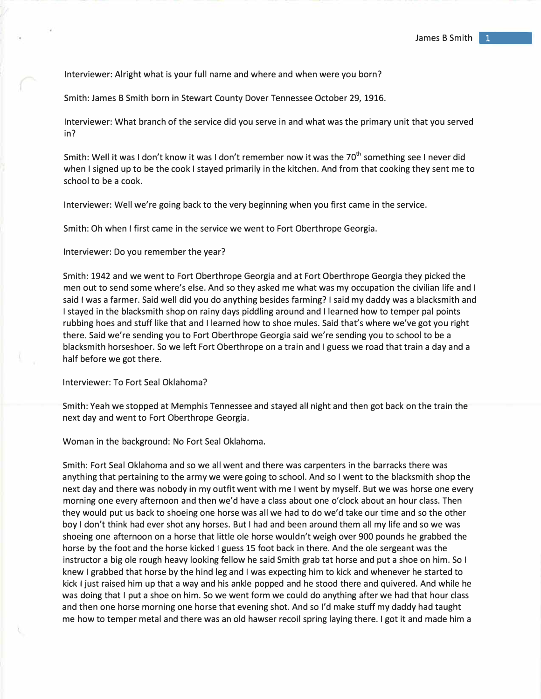Interviewer: Alright what is your full name and where and when were you born?

Smith: James B Smith born in Stewart County Dover Tennessee October 29, 1916.

Interviewer: What branch of the service did you serve in and what was the primary unit that you served in?

Smith: Well it was I don't know it was I don't remember now it was the 70<sup>th</sup> something see I never did when I signed up to be the cook I stayed primarily in the kitchen. And from that cooking they sent me to school to be a cook.

Interviewer: Well we're going back to the very beginning when you first came in the service.

Smith: Oh when I first came in the service we went to Fort Oberthrope Georgia.

Interviewer: Do you remember the year?

Smith: 1942 and we went to Fort Oberthrope Georgia and at Fort Oberthrope Georgia they picked the men out to send some where's else. And so they asked me what was my occupation the civilian life and I said I was a farmer. Said well did you do anything besides farming? I said my daddy was a blacksmith and I stayed in the blacksmith shop on rainy days piddling around and I learned how to temper pal points rubbing hoes and stuff like that and I learned how to shoe mules. Said that's where we've got you right there. Said we're sending you to Fort Oberthrope Georgia said we're sending you to school to be a blacksmith horseshoer. So we left Fort Oberthrope on a train and I guess we road that train a day and a half before we got there.

Interviewer: To Fort Seal Oklahoma?

Smith: Yeah we stopped at Memphis Tennessee and stayed all night and then got back on the train the next day and went to Fort Oberthrope Georgia.

Woman in the background: No Fort Seal Oklahoma.

Smith: Fort Seal Oklahoma and so we all went and there was carpenters in the barracks there was anything that pertaining to the army we were going to school. And so I went to the blacksmith shop the next day and there was nobody in my outfit went with me I went by myself. But we was horse one every morning one every afternoon and then we'd have a class about one o'clock about an hour class. Then they would put us back to shoeing one horse was all we had to do we'd take our time and so the other boy I don't think had ever shot any horses. But I had and been around them all my life and so we was shoeing one afternoon on a horse that little ale horse wouldn't weigh over 900 pounds he grabbed the horse by the foot and the horse kicked I guess 15 foot back in there. And the ole sergeant was the instructor a big ale rough heavy looking fellow he said Smith grab tat horse and put a shoe on him. So I knew I grabbed that horse by the hind leg and I was expecting him to kick and whenever he started to kick I just raised him up that a way and his ankle popped and he stood there and quivered. And while he was doing that I put a shoe on him. So we went form we could do anything after we had that hour class and then one horse morning one horse that evening shot. And so I'd make stuff my daddy had taught me how to temper metal and there was an old hawser recoil spring laying there. I got it and made him a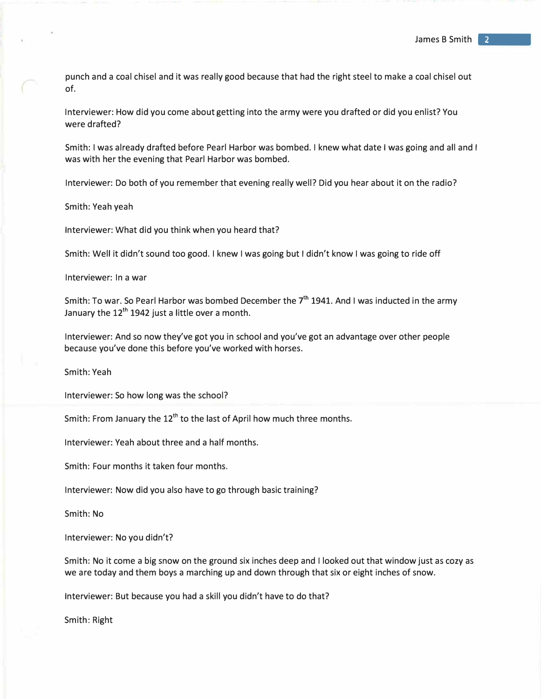punch and a coal chisel and it was really good because that had the right steel to make a coal chisel out of.

Interviewer: How did you come about getting into the army were you drafted or did you enlist? You were drafted?

Smith: I was already drafted before Pearl Harbor was bombed. I knew what date I was going and all and I was with her the evening that Pearl Harbor was bombed.

Interviewer: Do both of you remember that evening really well? Did you hear about it on the radio?

Smith: Yeah yeah

Interviewer: What did you think when you heard that?

Smith: Well it didn't sound too good. I knew I was going but I didn't know I was going to ride off

Interviewer: In a war

Smith: To war. So Pearl Harbor was bombed December the  $7^{\text{th}}$  1941. And I was inducted in the army January the  $12<sup>th</sup> 1942$  just a little over a month.

Interviewer: And so now they've got you in school and you've got an advantage over other people because you've done this before you've worked with horses.

Smith: Yeah

Interviewer: So how long was the school?

Smith: From January the 12<sup>th</sup> to the last of April how much three months.

Interviewer: Yeah about three and a half months.

Smith: Four months it taken four months.

Interviewer: Now did you also have to go through basic training?

Smith: No

Interviewer: No you didn't?

Smith: No it come a big snow on the ground six inches deep and I looked out that window just as cozy as we are today and them boys a marching up and down through that six or eight inches of snow.

Interviewer: But because you had a skill you didn't have to do that?

Smith: Right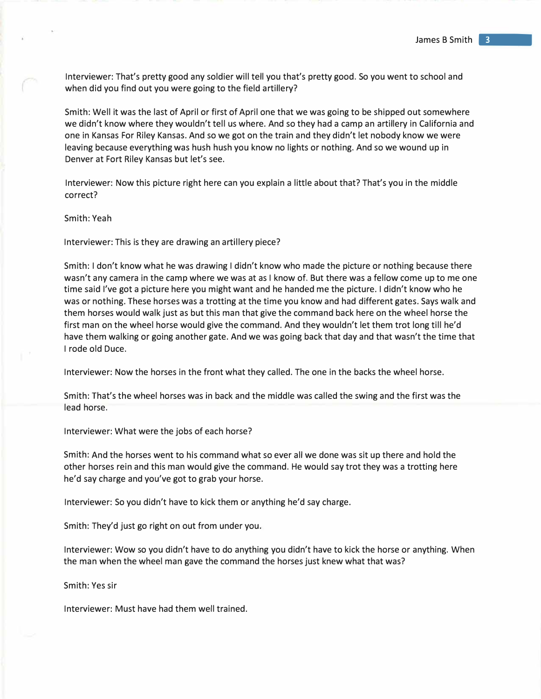Interviewer: That's pretty good any soldier will tell you that's pretty good. So you went to school and when did you find out you were going to the field artillery?

Smith: Well it was the last of April or first of April one that we was going to be shipped out somewhere we didn't know where they wouldn't tell us where. And so they had a camp an artillery in California and one in Kansas For Riley Kansas. And so we got on the train and they didn't let nobody know we were leaving because everything was hush hush you know no lights or nothing. And so we wound up in Denver at Fort Riley Kansas but let's see.

Interviewer: Now this picture right here can you explain a little about that? That's you in the middle correct?

Smith: Yeah

Interviewer: This is they are drawing an artillery piece?

Smith: I don't know what he was drawing I didn't know who made the picture or nothing because there wasn't any camera in the camp where we was at as I know of. But there was a fellow come up to me one time said I've got a picture here you might want and he handed me the picture. I didn't know who he was or nothing. These horses was a trotting at the time you know and had different gates. Says walk and them horses would walk just as but this man that give the command back here on the wheel horse the first man on the wheel horse would give the command. And they wouldn't let them trot long till he'd have them walking or going another gate. And we was going back that day and that wasn't the time that I rode old Duce.

Interviewer: Now the horses in the front what they called. The one in the backs the wheel horse.

Smith: That's the wheel horses was in back and the middle was called the swing and the first was the lead horse.

Interviewer: What were the jobs of each horse?

Smith: And the horses went to his command what so ever all we done was sit up there and hold the other horses rein and this man would give the command. He would say trot they was a trotting here he'd say charge and you've got to grab your horse.

Interviewer: So you didn't have to kick them or anything he'd say charge.

Smith: They'd just go right on out from under you.

Interviewer: Wow so you didn't have to do anything you didn't have to kick the horse or anything. When the man when the wheel man gave the command the horses just knew what that was?

Smith: Yes sir

Interviewer: Must have had them well trained.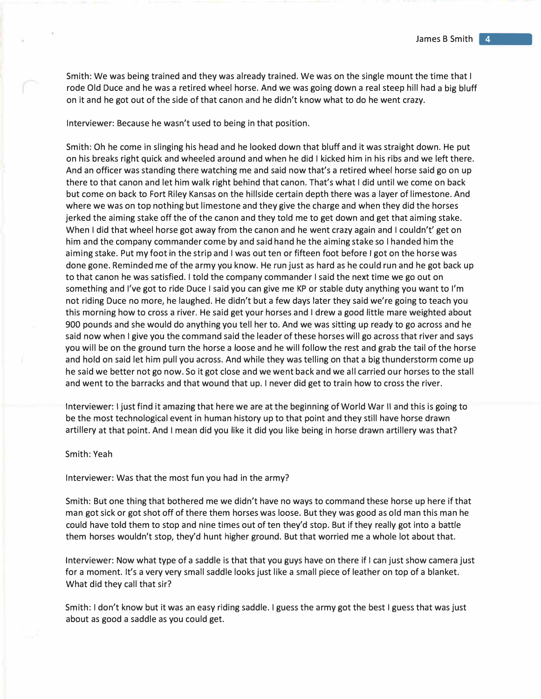Smith: We was being trained and they was already trained. We was on the single mount the time that I rode Old Duce and he was a retired wheel horse. And we was going down a real steep hill had a big bluff on it and he got out of the side of that canon and he didn't know what to do he went crazy.

Interviewer: Because he wasn't used to being in that position.

Smith: Oh he come in slinging his head and he looked down that bluff and it was straight down. He put on his breaks right quick and wheeled around and when he did I kicked him in his ribs and we left there. And an officer was standing there watching me and said now that's a retired wheel horse said go on up there to that canon and let him walk right behind that canon. That's what I did until we come on back but come on back to Fort Riley Kansas on the hillside certain depth there was a layer of limestone. And where we was on top nothing but limestone and they give the charge and when they did the horses jerked the aiming stake *off* the of the canon and they told me to get down and get that aiming stake. When I did that wheel horse got away from the canon and he went crazy again and I couldn't' get on him and the company commander come by and said hand he the aiming stake so I handed him the aiming stake. Put my foot in the strip and I was out ten or fifteen foot before I got on the horse was done gone. Reminded me of the army you know. He run just as hard as he could run and he got back up to that canon he was satisfied. I told the company commander I said the next time we go out on something and I've got to ride Duce I said you can give me KP or stable duty anything you want to I'm not riding Duce no more, he laughed. He didn't but a few days later they said we're going to teach you this morning how to cross a river. He said get your horses and I drew a good little mare weighted about 900 pounds and she would do anything you tell her to. And we was sitting up ready to go across and he said now when I give you the command said the leader of these horses will go across that river and says you will be on the ground turn the horse a loose and he will follow the rest and grab the tail of the horse and hold on said let him pull you across. And while they was telling on that a big thunderstorm come up he said we better not go now. So it got close and we went back and we all carried our horses to the stall and went to the barracks and that wound that up. I never did get to train how to cross the river.

Interviewer: I just find it amazing that here we are at the beginning of World War II and this is going to be the most technological event in human history up to that point and they still have horse drawn artillery at that point. And I mean did you like it did you like being in horse drawn artillery was that?

## Smith: Yeah

Interviewer: Was that the most fun you had in the army?

Smith: But one thing that bothered me we didn't have no ways to command these horse up here if that man got sick or got shot off of there them horses was loose. But they was good as old man this man he could have told them to stop and nine times out of ten they'd stop. But if they really got into a battle them horses wouldn't stop, they'd hunt higher ground. But that worried me a whole lot about that.

Interviewer: Now what type of a saddle is that that you guys have on there if I can just show camera just for a moment. It's a very very small saddle looks just like a small piece of leather on top of a blanket. What did they call that sir?

Smith: I don't know but it was an easy riding saddle. I guess the army got the best I guess that was just about as good a saddle as you could get.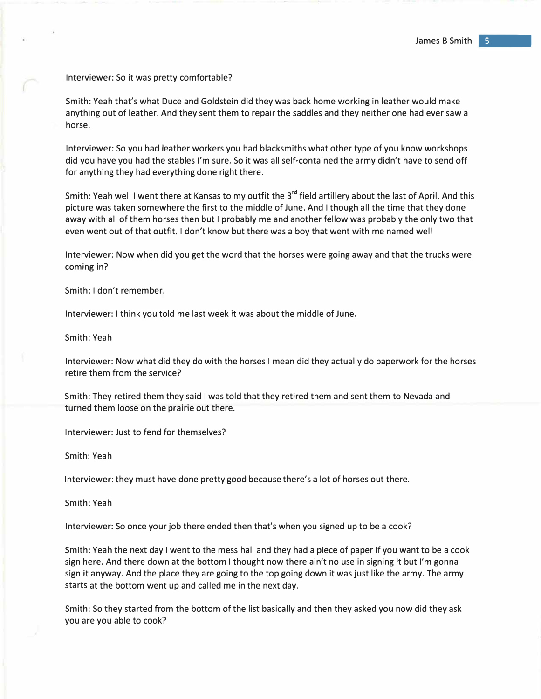Interviewer: So it was pretty comfortable?

Smith: Yeah that's what Duce and Goldstein did they was back home working in leather would make anything out of leather. And they sent them to repair the saddles and they neither one had ever saw a horse.

Interviewer: So you had leather workers you had blacksmiths what other type of you know workshops did you have you had the stables I'm sure. So it was all self-contained the army didn't have to send off for anything they had everything done right there.

Smith: Yeah well I went there at Kansas to my outfit the 3<sup>re</sup> field artillery about the last of April. And this picture was taken somewhere the first to the middle of June. And I though all the time that they done away with all of them horses then but I probably me and another fellow was probably the only two that even went out of that outfit. I don't know but there was a boy that went with me named well

Interviewer: Now when did you get the word that the horses were going away and that the trucks were coming in?

Smith: I don't remember.

Interviewer: I think you told me last week it was about the middle of June.

Smith: Yeah

Interviewer: Now what did they do with the horses I mean did they actually do paperwork for the horses retire them from the service?

Smith: They retired them they said I was told that they retired them and sent them to Nevada and turned them loose on the prairie out there.

Interviewer: Just to fend for themselves?

Smith: Yeah

Interviewer: they must have done pretty good because there's a lot of horses out there.

Smith: Yeah

Interviewer: So once your job there ended then that's when you signed up to be a cook?

Smith: Yeah the next day I went to the mess hall and they had a piece of paper if you want to be a cook sign here. And there down at the bottom I thought now there ain't no use in signing it but I'm gonna sign it anyway. And the place they are going to the top going down it was just like the army. The army starts at the bottom went up and called me in the next day.

Smith: So they started from the bottom of the list basically and then they asked you now did they ask you are you able to cook?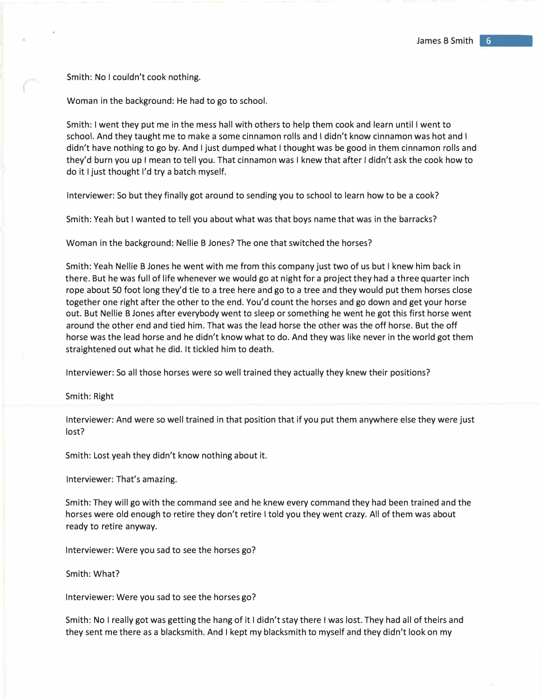Smith: No I couldn't cook nothing.

Woman in the background: He had to go to school.

Smith: I went they put me in the mess hall with others to help them cook and learn until I went to school. And they taught me to make a some cinnamon rolls and I didn't know cinnamon was hot and I didn't have nothing to go by. And I just dumped what I thought was be good in them cinnamon rolls and they'd burn you up I mean to tell you. That cinnamon was I knew that after I didn't ask the cook how to do it I just thought I'd try a batch myself.

Interviewer: So but they finally got around to sending you to school to learn how to be a cook?

Smith: Yeah but I wanted to tell you about what was that boys name that was in the barracks?

Woman in the background: Nellie B Jones? The one that switched the horses?

Smith: Yeah Nellie B Jones he went with me from this company just two of us but I knew him back in there. But he was full of life whenever we would go at night for a project they had a three quarter inch rope about 50 foot long they'd tie to a tree here and go to a tree and they would put them horses close together one right after the other to the end. You'd count the horses and go down and get your horse out. But Nellie B Jones after everybody went to sleep or something he went he got this first horse went around the other end and tied him. That was the lead horse the other was the off horse. But the off horse was the lead horse and he didn't know what to do. And they was like never in the world got them straightened out what he did. It tickled him to death.

Interviewer: So all those horses were so well trained they actually they knew their positions?

Smith: Right

Interviewer: And were so well trained in that position that if you put them anywhere else they were just lost?

Smith: Lost yeah they didn't know nothing about it.

Interviewer: That's amazing.

Smith: They will go with the command see and he knew every command they had been trained and the horses were old enough to retire they don't retire I told you they went crazy. All of them was about ready to retire anyway.

Interviewer: Were you sad to see the horses go?

Smith: What?

Interviewer: Were you sad to see the horses go?

Smith: No I really got was getting the hang of it I didn't stay there I was lost. They had all of theirs and they sent me there as a blacksmith. And I kept my blacksmith to myself and they didn't look on my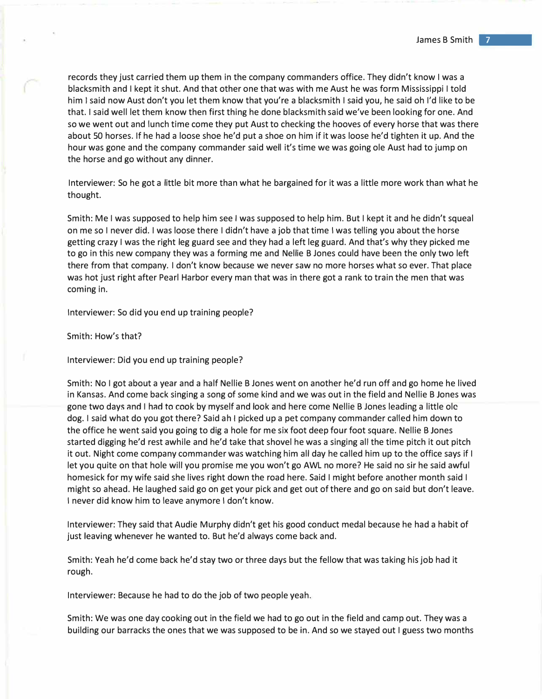records they just carried them up them in the company commanders office. They didn't know I was a blacksmith and I kept it shut. And that other one that was with me Aust he was form Mississippi I told him I said now Aust don't you let them know that you're a blacksmith I said you, he said oh I'd like to be that. I said well let them know then first thing he done blacksmith said we've been looking for one. And so we went out and lunch time come they put Aust to checking the hooves of every horse that was there about 50 horses. If he had a loose shoe he'd put a shoe on him if it was loose he'd tighten it up. And the hour was gone and the company commander said well it's time we was going ole Aust had to jump on the horse and go without any dinner.

Interviewer: So he got a little bit more than what he bargained for it was a little more work than what he thought.

Smith: Me I was supposed to help him see I was supposed to help him. But I kept it and he didn't squeal on me so I never did. I was loose there I didn't have a job that time I was telling you about the horse getting crazy I was the right leg guard see and they had a left leg guard. And that's why they picked me to go in this new company they was a forming me and Nellie B Jones could have been the only two left there from that company. I don't know because we never saw no more horses what so ever. That place was hot just right after Pearl Harbor every man that was in there got a rank to train the men that was coming in.

Interviewer: So did you end up training people?

Smith: How's that?

Interviewer: Did you end up training people?

Smith: No I got about a year and a half Nellie B Jones went on another he'd run off and go home he lived in Kansas. And come back singing a song of some kind and we was out in the field and Nellie B Jones was gone two days and I had to cook by myself and look and here come Nellie B Jones leading a little olc dog. I said what do you got there? Said ah I picked up a pet company commander called him down to the office he went said you going to dig a hole for me six foot deep four foot square. Nellie B Jones started digging he'd rest awhile and he'd take that shovel he was a singing all the time pitch it out pitch it out. Night come company commander was watching him all day he called him up to the office says if I let you quite on that hole will you promise me you won't go AWL no more? He said no sir he said awful homesick for my wife said she lives right down the road here. Said I might before another month said I might so ahead. He laughed said go on get your pick and get out of there and go on said but don't leave. I never did know him to leave anymore I don't know.

Interviewer: They said that Audie Murphy didn't get his good conduct medal because he had a habit of just leaving whenever he wanted to. But he'd always come back and.

Smith: Yeah he'd come back he'd stay two or three days but the fellow that was taking his job had it rough.

Interviewer: Because he had to do the job of two people yeah.

Smith: We was one day cooking out in the field we had to go out in the field and camp out. They was a building our barracks the ones that we was supposed to be in. And so we stayed out I guess two months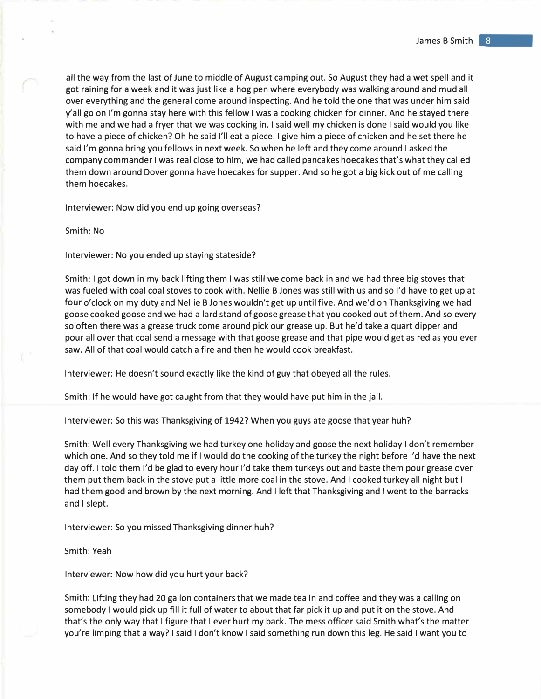all the way from the last of June to middle of August camping out. So August they had a wet spell and it got raining for a week and it was just like a hog pen where everybody was walking around and mud all over everything and the general come around inspecting. And he told the one that was under him said y'all go on I'm gonna stay here with this fellow I was a cooking chicken for dinner. And he stayed there with me and we had a fryer that we was cooking in. I said well my chicken is done I said would you like to have a piece of chicken? Oh he said I'll eat a piece. I give him a piece of chicken and he set there he said I'm gonna bring you fellows in next week. So when he left and they come around I asked the company commander I was real close to him, we had called pancakes hoecakes that's what they called them down around Dover gonna have hoecakes for supper. And so he got a big kick out of me calling them hoecakes.

Interviewer: Now did you end up going overseas?

Smith: No

Interviewer: No you ended up staying stateside?

Smith: I got down in my back lifting them I was still we come back in and we had three big stoves that was fueled with coal coal stoves to cook with. Nellie B Jones was still with us and so I'd have to get up at four o'clock on my duty and Nellie B Jones wouldn't get up until five. And we'd on Thanksgiving we had goose cooked goose and we had a lard stand of goose grease that you cooked out of them. And so every so often there was a grease truck come around pick our grease up. But he'd take a quart dipper and pour all over that coal send a message with that goose grease and that pipe would get as red as you ever saw. All of that coal would catch a fire and then he would cook breakfast.

Interviewer: He doesn't sound exactly like the kind of guy that obeyed all the rules.

Smith: If he would have got caught from that they would have put him in the jail.

Interviewer: So this was Thanksgiving of 1942? When you guys ate goose that year huh?

Smith: Well every Thanksgiving we had turkey one holiday and goose the next holiday I don't remember which one. And so they told me if I would do the cooking of the turkey the night before I'd have the next day off. I told them I'd be glad to every hour I'd take them turkeys out and baste them pour grease over them put them back in the stove put a little more coal in the stove. And I cooked turkey all night but I had them good and brown by the next morning. And I left that Thanksgiving and I went to the barracks and I slept.

Interviewer: So you missed Thanksgiving dinner huh?

## Smith: Yeah

Interviewer: Now how did you hurt your back?

Smith: Lifting they had 20 gallon containers that we made tea in and coffee and they was a calling on somebody I would pick up fill it full of water to about that far pick it up and put it on the stove. And that's the only way that I figure that I ever hurt my back. The mess officer said Smith what's the matter you're limping that a way? I said I don't know I said something run down this leg. He said I want you to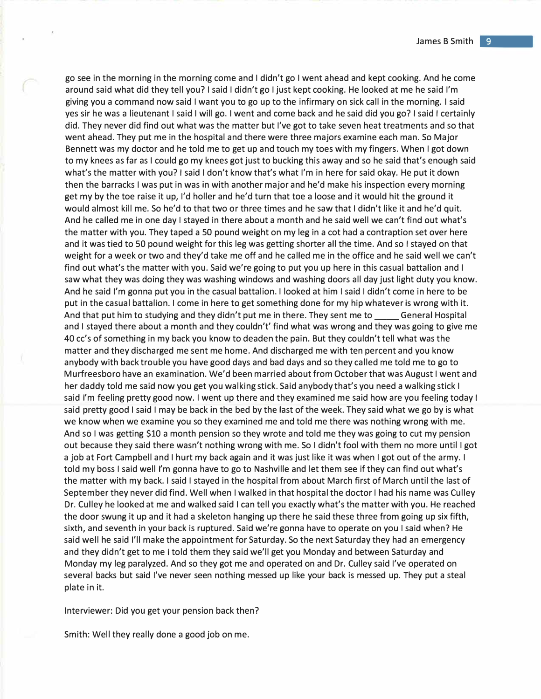go see in the morning in the morning come and I didn't go I went ahead and kept cooking. And he come around said what did they tell you? I said I didn't go I just kept cooking. He looked at me he said I'm giving you a command now said I want you to go up to the infirmary on sick call in the morning. I said yes sir he was a lieutenant I said I will go. I went and come back and he said did you go? I said I certainly did. They never did find out what was the matter but I've got to take seven heat treatments and so that went ahead. They put me in the hospital and there were three majors examine each man. So Major Bennett was my doctor and he told me to get up and touch my toes with my fingers. When I got down to my knees as far as I could go my knees got just to bucking this away and so he said that's enough said what's the matter with you? I said I don't know that's what I'm in here for said okay. He put it down then the barracks I was put in was in with another major and he'd make his inspection every morning get my by the toe raise it up, I'd holler and he'd turn that toe a loose and it would hit the ground it would almost kill me. So he'd to that two or three times and he saw that I didn't like it and he'd quit. And he called me in one day I stayed in there about a month and he said well we can't find out what's the matter with you. They taped a SO pound weight on my leg in a cot had a contraption set over here and it was tied to SO pound weight for this leg was getting shorter all the time. And so I stayed on that weight for a week or two and they'd take me off and he called me in the office and he said well we can't find out what's the matter with you. Said we're going to put you up here in this casual battalion and I saw what they was doing they was washing windows and washing doors all day just light duty you know. And he said I'm gonna put you in the casual battalion. I looked at him I said I didn't come in here to be put in the casual battalion. I come in here to get something done for my hip whatever is wrong with it. And that put him to studying and they didn't put me in there. They sent me to \_\_\_\_\_ General Hospital and I stayed there about a month and they couldn't' find what was wrong and they was going to give me 40 cc's of something in my back you know to deaden the pain. But they couldn't tell what was the matter and they discharged me sent me home. And discharged me with ten percent and you know anybody with back trouble you have good days and bad days and so they called me told me to go to Murfreesboro have an examination. We'd been married about from October that was August I went and her daddy told me said now you get you walking stick. Said anybody that's you need a walking stick I said I'm feeling pretty good now. I went up there and they examined me said how are you feeling today I said pretty good I said I may be back in the bed by the last of the week. They said what we go by is what we know when we examine you so they examined me and told me there was nothing wrong with me. And so I was getting \$10 a month pension so they wrote and told me they was going to cut my pension out because they said there wasn't nothing wrong with me. So I didn't fool with them no more until I got a job at Fort Campbell and I hurt my back again and it was just like it was when I got out of the army. I told my boss I said well I'm gonna have to go to Nashville and let them see if they can find out what's the matter with my back. I said I stayed in the hospital from about March first of March until the last of September they never did find. Well when I walked in that hospital the doctor I had his name was Culley Dr. Culley he looked at me and walked said I can tell you exactly what's the matter with you. He reached the door swung it up and it had a skeleton hanging up there he said these three from going up six fifth, sixth, and seventh in your back is ruptured. Said we're gonna have to operate on you I said when? He said well he said I'll make the appointment for Saturday. So the next Saturday they had an emergency and they didn't get to me I told them they said we'll get you Monday and between Saturday and Monday my leg paralyzed. And so they got me and operated on and Dr. Culley said I've operated on several backs but said I've never seen nothing messed up like your back is messed up. They put a steal plate in it.

Interviewer: Did you get your pension back then?

Smith: Well they really done a good job on me.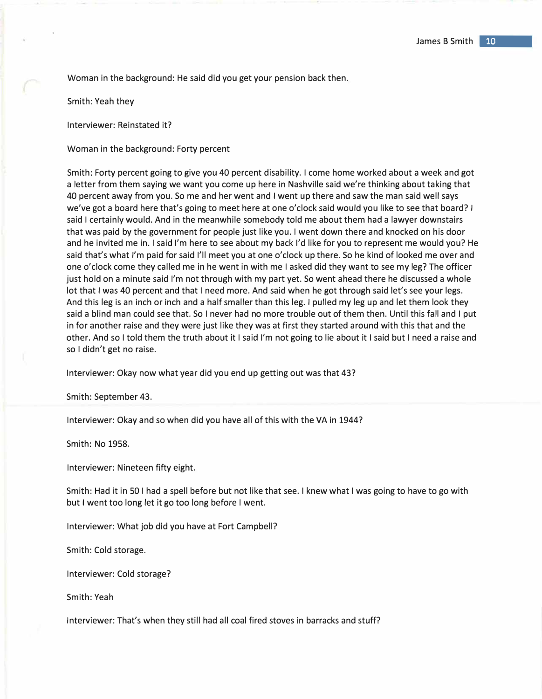Woman in the background: He said did you get your pension back then.

Smith: Yeah they

Interviewer: Reinstated it?

Woman in the background: Forty percent

Smith: Forty percent going to give you 40 percent disability. I come home worked about a week and got a letter from them saying we want you come up here in Nashville said we're thinking about taking that 40 percent away from you. So me and her went and I went up there and saw the man said well says we've got a board here that's going to meet here at one o'clock said would you like to see that board? I said I certainly would. And in the meanwhile somebody told me about them had a lawyer downstairs that was paid by the government for people just like you. I went down there and knocked on his door and he invited me in. I said I'm here to see about my back I'd like for you to represent me would you? He said that's what I'm paid for said I'll meet you at one o'clock up there. So he kind of looked me over and one o'clock come they called me in he went in with me I asked did they want to see my leg? The officer just hold on a minute said I'm not through with my part yet. So went ahead there he discussed a whole lot that I was 40 percent and that I need more. And said when he got through said let's see your legs. And this leg is an inch or inch and a half smaller than this leg. I pulled my leg up and let them look they said a blind man could see that. So I never had no more trouble out of them then. Until this fall and I put in for another raise and they were just like they was at first they started around with this that and the other. And so I told them the truth about it I said I'm not going to lie about it I said but I need a raise and so I didn't get no raise.

Interviewer: Okay now what year did you end up getting out was that 43?

Smith: September 43.

Interviewer: Okay and so when did you have all of this with the VA in 1944?

Smith: No 1958.

Interviewer: Nineteen fifty eight.

Smith: Had it in 50 I had a spell before but not like that see. I knew what I was going to have to go with but I went too long let it go too long before I went.

Interviewer: What job did you have at Fort Campbell?

Smith: Cold storage.

Interviewer: Cold storage?

Smith: Yeah

Interviewer: That's when they still had all coal fired stoves in barracks and stuff?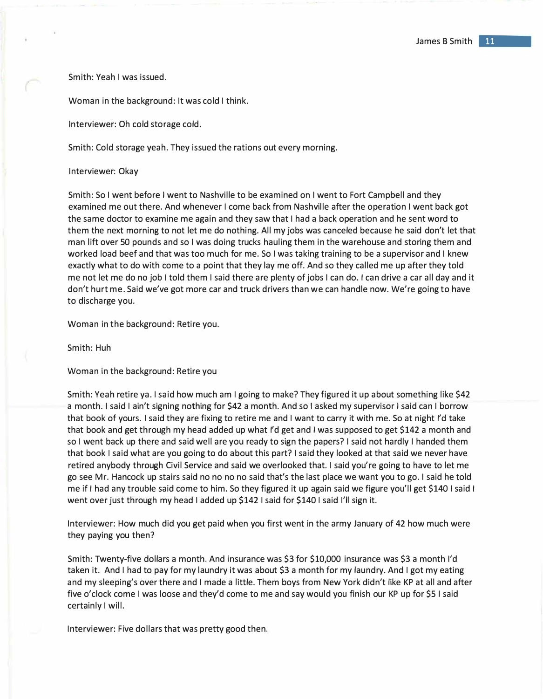Smith: Yeah I was issued.

Woman in the background: It was cold I think.

Interviewer: Oh cold storage cold.

Smith: Cold storage yeah. They issued the rations out every morning.

Interviewer: Okay

Smith: So I went before I went to Nashville to be examined on I went to Fort Campbell and they examined me out there. And whenever I come back from Nashville after the operation I went back got the same doctor to examine me again and they saw that I had a back operation and he sent word to them the next morning to not let me do nothing. All my jobs was canceled because he said don't let that man lift over 50 pounds and so I was doing trucks hauling them in the warehouse and storing them and worked load beef and that was too much for me. So I was taking training to be a supervisor and I knew exactly what to do with come to a point that they lay me off. And so they called me up after they told me not let me do no job I told them I said there are plenty of jobs I can do. I can drive a car all day and it don't hurt me. Said we've got more car and truck drivers than we can handle now. We're going to have to discharge you.

Woman in the background: Retire you.

Smith: Huh

Woman in the background: Retire you

Smith: Yeah retire ya. I said how much am I going to make? They figured it up about something like \$42 a month. I said I ain't signing nothing for \$42 a month. And so I asked my supervisor I said can I borrow that book of yours. I said they are fixing to retire me and I want to carry it with me. So at night I'd take that book and get through my head added up what I'd get and I was supposed to get \$142 a month and so I went back up there and said well are you ready to sign the papers? I said not hardly I handed them that book I said what are you going to do about this part? I said they looked at that said we never have retired anybody through Civil Service and said we overlooked that. I said you're going to have to let me go see Mr. Hancock up stairs said no no no no said that's the last place we want you to go. I said he told me if I had any trouble said come to him. So they figured it up again said we figure you'll get \$140 I said I went over just through my head I added up \$142 I said for \$140 I said I'll sign it.

Interviewer: How much did you get paid when you first went in the army January of 42 how much were they paying you then?

Smith: Twenty-five dollars a month. And insurance was \$3 for \$10,000 insurance was \$3 a month I'd taken it. And I had to pay for my laundry it was about \$3 a month for my laundry. And I got my eating and my sleeping's over there and I made a little. Them boys from New York didn't like KP at all and after five o'clock come I was loose and they'd come to me and say would you finish our KP up for \$5 I said certainly I will.

Interviewer: Five dollars that was pretty good then.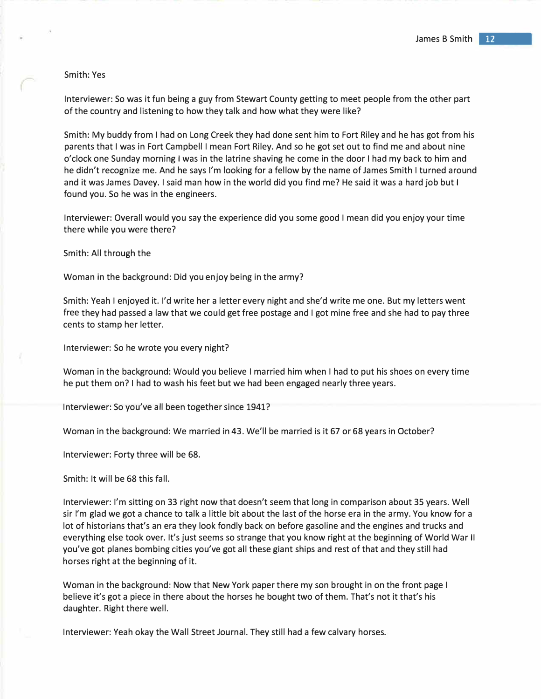## Smith: Yes

Interviewer: So was it fun being a guy from Stewart County getting to meet people from the other part of the country and listening to how they talk and how what they were like?

Smith: My buddy from I had on Long Creek they had done sent him to Fort Riley and he has got from his parents that I was in Fort Campbell I mean Fort Riley. And so he got set out to find me and about nine o'clock one Sunday morning I was in the latrine shaving he come in the door I had my back to him and he didn't recognize me. And he says I'm looking for a fellow by the name of James Smith I turned around and it was James Davey. I said man how in the world did you find me? He said it was a hard job but I found you. So he was in the engineers.

Interviewer: Overall would you say the experience did you some good I mean did you enjoy your time there while you were there?

Smith: All through the

Woman in the background: Did you enjoy being in the army?

Smith: Yeah I enjoyed it. I'd write her a letter every night and she'd write me one. But my letters went free they had passed a law that we could get free postage and I got mine free and she had to pay three cents to stamp her letter.

Interviewer: So he wrote you every night?

Woman in the background: Would you believe I married him when I had to put his shoes on every time he put them on? I had to wash his feet but we had been engaged nearly three years.

Interviewer: So you've all been together since 1941?

Woman in the background: We married in 43. We'll be married is it 67 or 68 years in October?

Interviewer: Forty three will be 68.

Smith: It will be 68 this fall.

Interviewer: I'm sitting on 33 right now that doesn't seem that long in comparison about 35 years. Well sir I'm glad we got a chance to talk a little bit about the last of the horse era in the army. You know for a lot of historians that's an era they look fondly back on before gasoline and the engines and trucks and everything else took over. It's just seems so strange that you know right at the beginning of World War II you've got planes bombing cities you've got all these giant ships and rest of that and they still had horses right at the beginning of it.

Woman in the background: Now that New York paper there my son brought in on the front page I believe it's got a piece in there about the horses he bought two of them. That's not it that's his daughter. Right there well.

Interviewer: Yeah okay the Wall Street Journal. They still had a few calvary horses.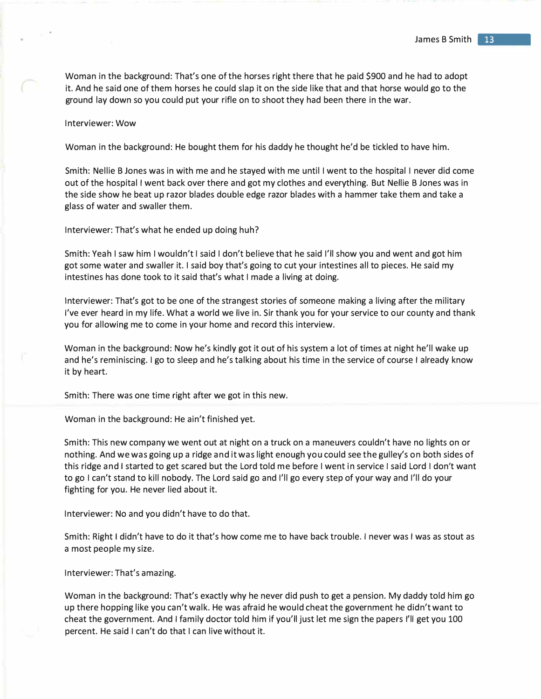Woman in the background: That's one of the horses right there that he paid \$900 and he had to adopt it. And he said one of them horses he could slap it on the side like that and that horse would go to the ground lay down so you could put your rifle on to shoot they had been there in the war.

## Interviewer: Wow

Woman in the background: He bought them for his daddy he thought he'd be tickled to have him.

Smith: Nellie B Jones was in with me and he stayed with me until I went to the hospital I never did come out of the hospital I went back over there and got my clothes and everything. But Nellie B Jones was in the side show he beat up razor blades double edge razor blades with a hammer take them and take a glass of water and swaller them.

Interviewer: That's what he ended up doing huh?

Smith: Yeah I saw him I wouldn't I said I don't believe that he said I'll show you and went and got him got some water and swaller it. I said boy that's going to cut your intestines all to pieces. He said my intestines has done took to it said that's what I made a living at doing.

Interviewer: That's got to be one of the strangest stories of someone making a living after the military I've ever heard in my life. What a world we live in. Sir thank you for your service to our county and thank you for allowing me to come in your home and record this interview.

Woman in the background: Now he's kindly got it out of his system a lot of times at night he'll wake up and he's reminiscing. I go to sleep and he's talking about his time in the service of course I already know it by heart.

Smith: There was one time right after we got in this new.

Woman in the background: He ain't finished yet.

Smith: This new company we went out at night on a truck on a maneuvers couldn't have no lights on or nothing. And we was going up a ridge and it was light enough you could see the gulley's on both sides of this ridge and I started to get scared but the Lord told me before I went in service I said Lord I don't want to go I can't stand to kill nobody. The Lord said go and I'll go every step of your way and I'll do your fighting for you. He never lied about it.

Interviewer: No and you didn't have to do that.

Smith: Right I didn't have to do it that's how come me to have back trouble. I never was I was as stout as a most people my size.

Interviewer: That's amazing.

Woman in the background: That's exactly why he never did push to get a pension. My daddy told him go up there hopping like you can't walk. He was afraid he would cheat the government he didn't want to cheat the government. And I family doctor told him if you'll just let me sign the papers I'll get you 100 percent. He said I can't do that I can live without it.